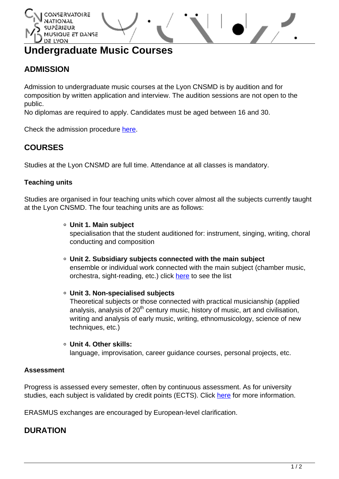

# **Undergraduate Music Courses**

# **ADMISSION**

Admission to undergraduate music courses at the Lyon CNSMD is by audition and for composition by written application and interview. The audition sessions are not open to the public.

No diplomas are required to apply. Candidates must be aged between 16 and 30.

Check the admission procedure [here.](http://www.cnsmd-lyon.fr/en-2/students/admission-to-music-departments)

## **COURSES**

Studies at the Lyon CNSMD are full time. Attendance at all classes is mandatory.

#### **Teaching units**

Studies are organised in four teaching units which cover almost all the subjects currently taught at the Lyon CNSMD. The four teaching units are as follows:

#### **Unit 1. Main subject**

specialisation that the student auditioned for: instrument, singing, writing, choral conducting and composition

- **Unit 2. Subsidiary subjects connected with the main subject** ensemble or individual work connected with the main subject (chamber music, orchestra, sight-reading, etc.) click [here](http://www.cnsmd-lyon.fr/en-2/courses/subsidiary-subjects) to see the list
- **Unit 3. Non-specialised subjects**

Theoretical subjects or those connected with practical musicianship (applied analysis, analysis of  $20<sup>th</sup>$  century music, history of music, art and civilisation, writing and analysis of early music, writing, ethnomusicology, science of new techniques, etc.)

#### **Unit 4. Other skills:**

language, improvisation, career guidance courses, personal projects, etc.

#### **Assessment**

Progress is assessed every semester, often by continuous assessment. As for university studies, each subject is validated by credit points (ECTS). Click [here](http://www.cnsmd-lyon.fr/en-2/assessment) for more information.

ERASMUS exchanges are encouraged by European-level clarification.

### **DURATION**